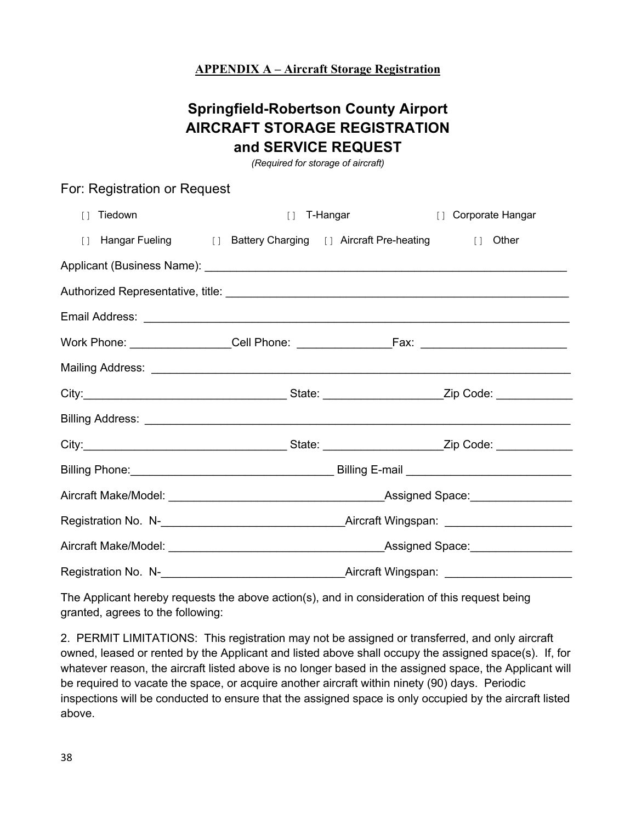## **APPENDIX A – Aircraft Storage Registration**

## **Springfield-Robertson County Airport AIRCRAFT STORAGE REGISTRATION and SERVICE REQUEST**

*(Required for storage of aircraft)*

## For: Registration or Request

| $\lceil$ 1 | Tiedown                                                                | $\Box$ | T-Hangar                               | [] Corporate Hangar |  |
|------------|------------------------------------------------------------------------|--------|----------------------------------------|---------------------|--|
|            | [] Hangar Fueling [] Battery Charging [] Aircraft Pre-heating [] Other |        |                                        |                     |  |
|            |                                                                        |        |                                        |                     |  |
|            |                                                                        |        |                                        |                     |  |
|            |                                                                        |        |                                        |                     |  |
|            |                                                                        |        |                                        |                     |  |
|            |                                                                        |        |                                        |                     |  |
|            |                                                                        |        |                                        |                     |  |
|            |                                                                        |        |                                        |                     |  |
|            |                                                                        |        |                                        |                     |  |
|            |                                                                        |        |                                        |                     |  |
|            |                                                                        |        |                                        |                     |  |
|            |                                                                        |        |                                        |                     |  |
|            |                                                                        |        |                                        |                     |  |
|            | Registration No. N-<br><u>Legistration No. N-</u>                      |        | _Aircraft Wingspan: __________________ |                     |  |

The Applicant hereby requests the above action(s), and in consideration of this request being granted, agrees to the following:

2. PERMIT LIMITATIONS: This registration may not be assigned or transferred, and only aircraft owned, leased or rented by the Applicant and listed above shall occupy the assigned space(s). If, for whatever reason, the aircraft listed above is no longer based in the assigned space, the Applicant will be required to vacate the space, or acquire another aircraft within ninety (90) days. Periodic inspections will be conducted to ensure that the assigned space is only occupied by the aircraft listed above.